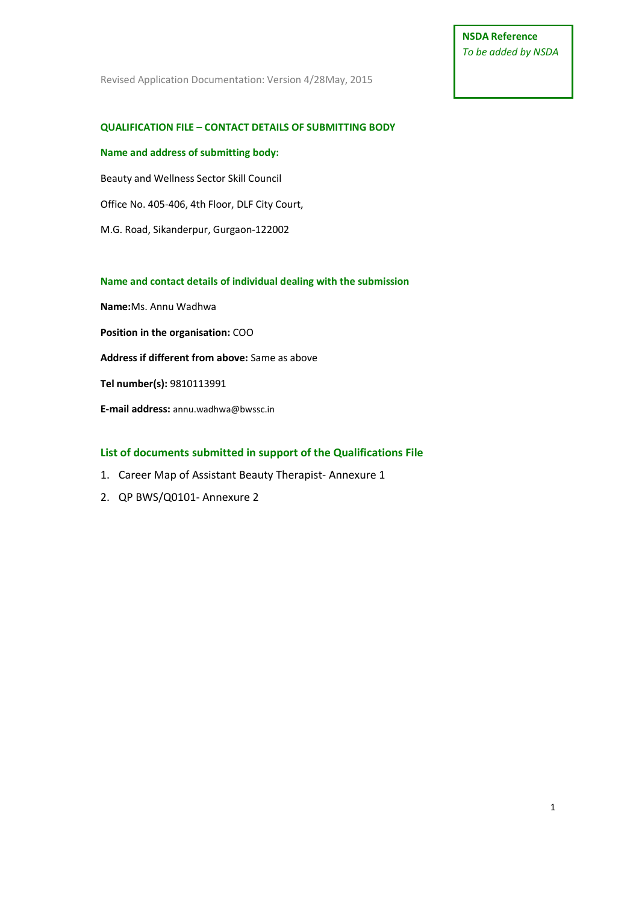# **NSDA Reference** *To be added by NSDA*

Revised Application Documentation: Version 4/28May, 2015

### **QUALIFICATION FILE – CONTACT DETAILS OF SUBMITTING BODY**

## **Name and address of submitting body:**

Beauty and Wellness Sector Skill Council

Office No. 405-406, 4th Floor, DLF City Court,

M.G. Road, Sikanderpur, Gurgaon-122002

### **Name and contact details of individual dealing with the submission**

**Name:**Ms. Annu Wadhwa **Position in the organisation:** COO **Address if different from above:** Same as above **Tel number(s):** 9810113991

**E-mail address:** annu.wadhwa@bwssc.in

## **List of documents submitted in support of the Qualifications File**

- 1. Career Map of Assistant Beauty Therapist- Annexure 1
- 2. QP BWS/Q0101- Annexure 2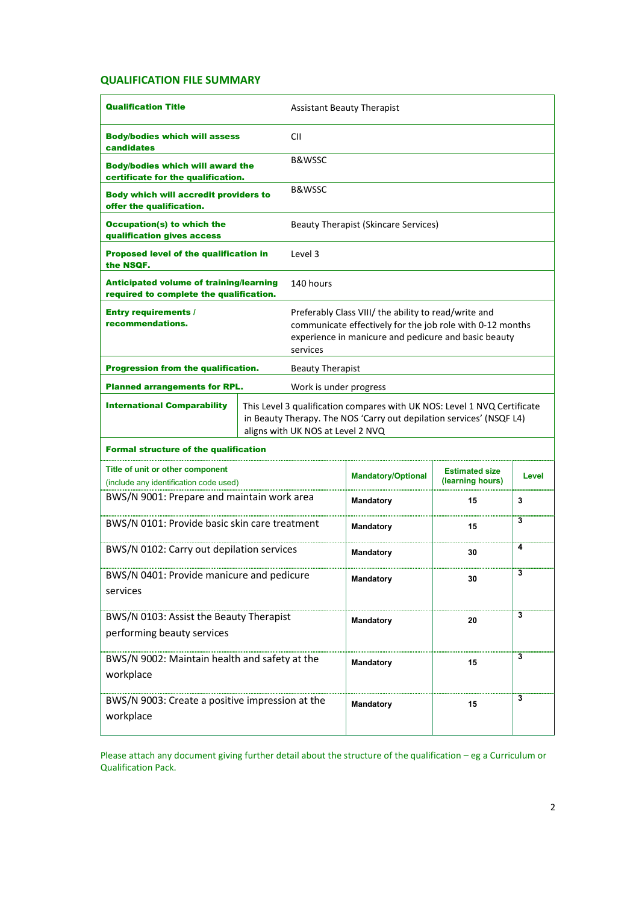## **QUALIFICATION FILE SUMMARY**

| <b>Qualification Title</b>                                                                |  | <b>Assistant Beauty Therapist</b>                                                                                                                                                     |                                                                                                                                                                           |                                           |       |  |  |
|-------------------------------------------------------------------------------------------|--|---------------------------------------------------------------------------------------------------------------------------------------------------------------------------------------|---------------------------------------------------------------------------------------------------------------------------------------------------------------------------|-------------------------------------------|-------|--|--|
| <b>Body/bodies which will assess</b><br>candidates                                        |  | СII                                                                                                                                                                                   |                                                                                                                                                                           |                                           |       |  |  |
| <b>Body/bodies which will award the</b><br>certificate for the qualification.             |  | <b>B&amp;WSSC</b>                                                                                                                                                                     |                                                                                                                                                                           |                                           |       |  |  |
| <b>Body which will accredit providers to</b><br>offer the qualification.                  |  | B&WSSC                                                                                                                                                                                |                                                                                                                                                                           |                                           |       |  |  |
| <b>Occupation(s) to which the</b><br>qualification gives access                           |  |                                                                                                                                                                                       | <b>Beauty Therapist (Skincare Services)</b>                                                                                                                               |                                           |       |  |  |
| <b>Proposed level of the qualification in</b><br>the NSQF.                                |  | Level 3                                                                                                                                                                               |                                                                                                                                                                           |                                           |       |  |  |
| <b>Anticipated volume of training/learning</b><br>required to complete the qualification. |  | 140 hours                                                                                                                                                                             |                                                                                                                                                                           |                                           |       |  |  |
| <b>Entry requirements /</b><br>recommendations.<br>services                               |  |                                                                                                                                                                                       | Preferably Class VIII/ the ability to read/write and<br>communicate effectively for the job role with 0-12 months<br>experience in manicure and pedicure and basic beauty |                                           |       |  |  |
| Progression from the qualification.                                                       |  | <b>Beauty Therapist</b>                                                                                                                                                               |                                                                                                                                                                           |                                           |       |  |  |
| <b>Planned arrangements for RPL.</b>                                                      |  |                                                                                                                                                                                       | Work is under progress                                                                                                                                                    |                                           |       |  |  |
| <b>International Comparability</b>                                                        |  | This Level 3 qualification compares with UK NOS: Level 1 NVQ Certificate<br>in Beauty Therapy. The NOS 'Carry out depilation services' (NSQF L4)<br>aligns with UK NOS at Level 2 NVQ |                                                                                                                                                                           |                                           |       |  |  |
| <b>Formal structure of the qualification</b>                                              |  |                                                                                                                                                                                       |                                                                                                                                                                           |                                           |       |  |  |
| Title of unit or other component<br>(include any identification code used)                |  |                                                                                                                                                                                       | <b>Mandatory/Optional</b>                                                                                                                                                 | <b>Estimated size</b><br>(learning hours) | Level |  |  |
| BWS/N 9001: Prepare and maintain work area                                                |  |                                                                                                                                                                                       | <b>Mandatory</b>                                                                                                                                                          | 15                                        | 3     |  |  |
| BWS/N 0101: Provide basic skin care treatment                                             |  |                                                                                                                                                                                       | Mandatory                                                                                                                                                                 | 15                                        | 3     |  |  |
| BWS/N 0102: Carry out depilation services                                                 |  |                                                                                                                                                                                       | Mandatory                                                                                                                                                                 | 30                                        | 4     |  |  |
| BWS/N 0401: Provide manicure and pedicure<br>services                                     |  | Mandatory                                                                                                                                                                             | 30                                                                                                                                                                        | 3                                         |       |  |  |
| BWS/N 0103: Assist the Beauty Therapist<br>performing beauty services                     |  | <b>Mandatory</b>                                                                                                                                                                      | 20                                                                                                                                                                        | 3                                         |       |  |  |
| BWS/N 9002: Maintain health and safety at the<br>workplace                                |  | Mandatory                                                                                                                                                                             | 15                                                                                                                                                                        | 3                                         |       |  |  |
| BWS/N 9003: Create a positive impression at the<br>workplace                              |  |                                                                                                                                                                                       | Mandatory                                                                                                                                                                 | 15                                        | 3     |  |  |

Please attach any document giving further detail about the structure of the qualification – eg a Curriculum or Qualification Pack.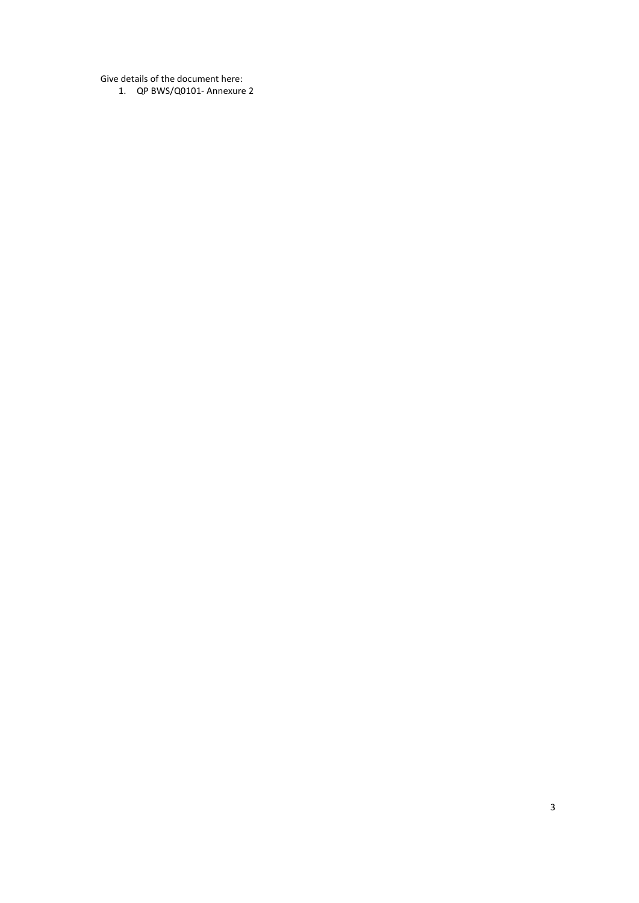Give details of the document here:

1. QP BWS/Q0101- Annexure 2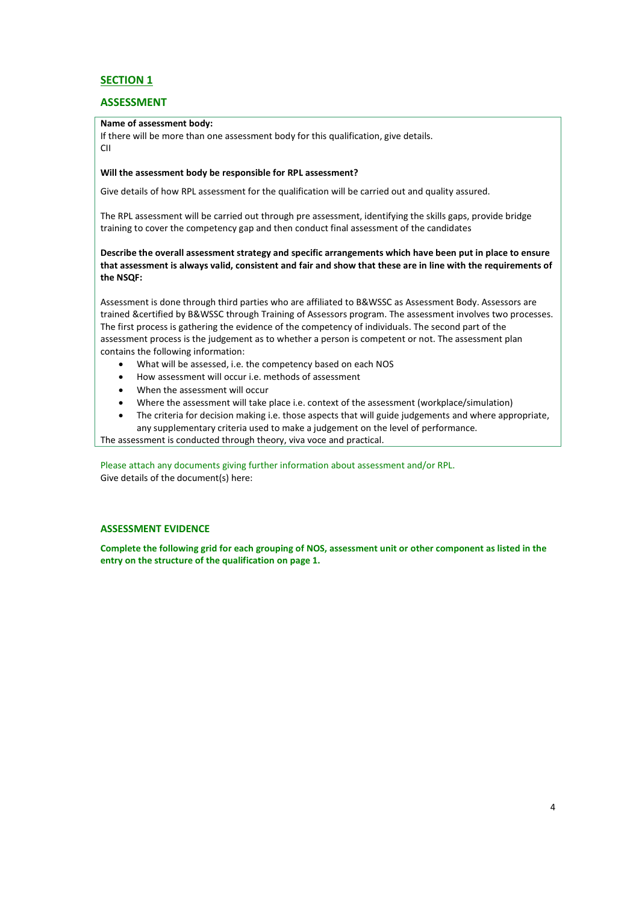## **SECTION 1**

### **ASSESSMENT**

#### **Name of assessment body:**

If there will be more than one assessment body for this qualification, give details. CII

#### **Will the assessment body be responsible for RPL assessment?**

Give details of how RPL assessment for the qualification will be carried out and quality assured.

The RPL assessment will be carried out through pre assessment, identifying the skills gaps, provide bridge training to cover the competency gap and then conduct final assessment of the candidates

**Describe the overall assessment strategy and specific arrangements which have been put in place to ensure that assessment is always valid, consistent and fair and show that these are in line with the requirements of the NSQF:**

Assessment is done through third parties who are affiliated to B&WSSC as Assessment Body. Assessors are trained &certified by B&WSSC through Training of Assessors program. The assessment involves two processes. The first process is gathering the evidence of the competency of individuals. The second part of the assessment process is the judgement as to whether a person is competent or not. The assessment plan contains the following information:

- What will be assessed, i.e. the competency based on each NOS
- How assessment will occur i.e. methods of assessment
- When the assessment will occur
- Where the assessment will take place i.e. context of the assessment (workplace/simulation)
- The criteria for decision making i.e. those aspects that will guide judgements and where appropriate, any supplementary criteria used to make a judgement on the level of performance.

The assessment is conducted through theory, viva voce and practical.

Please attach any documents giving further information about assessment and/or RPL. Give details of the document(s) here:

#### **ASSESSMENT EVIDENCE**

**Complete the following grid for each grouping of NOS, assessment unit or other component as listed in the entry on the structure of the qualification on page 1.**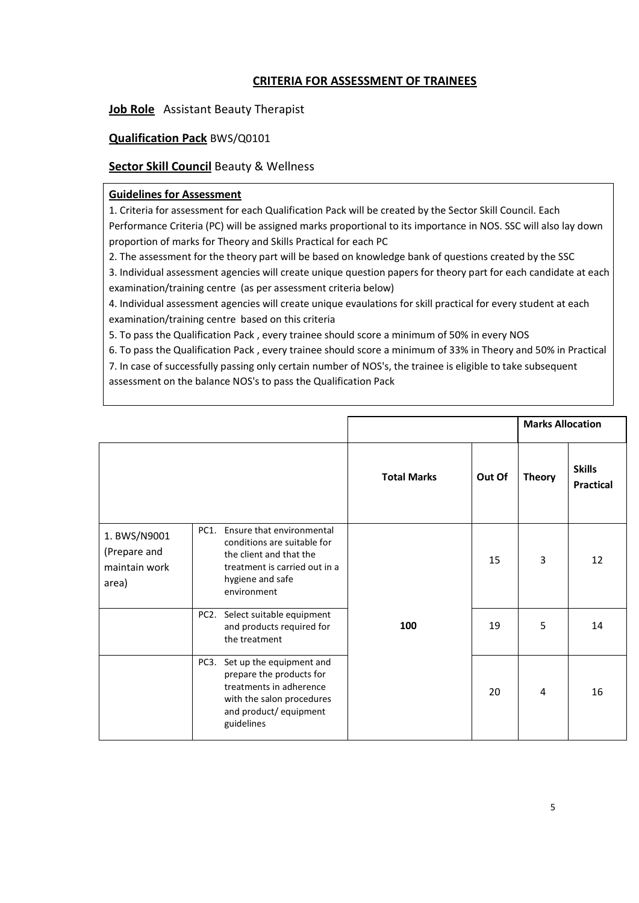# **CRITERIA FOR ASSESSMENT OF TRAINEES**

**Job Role** Assistant Beauty Therapist

# **Qualification Pack** BWS/Q0101

# **Sector Skill Council** Beauty & Wellness

## **Guidelines for Assessment**

1. Criteria for assessment for each Qualification Pack will be created by the Sector Skill Council. Each Performance Criteria (PC) will be assigned marks proportional to its importance in NOS. SSC will also lay down proportion of marks for Theory and Skills Practical for each PC

2. The assessment for the theory part will be based on knowledge bank of questions created by the SSC

3. Individual assessment agencies will create unique question papers for theory part for each candidate at each examination/training centre (as per assessment criteria below)

4. Individual assessment agencies will create unique evaulations for skill practical for every student at each examination/training centre based on this criteria

5. To pass the Qualification Pack , every trainee should score a minimum of 50% in every NOS

6. To pass the Qualification Pack , every trainee should score a minimum of 33% in Theory and 50% in Practical

7. In case of successfully passing only certain number of NOS's, the trainee is eligible to take subsequent assessment on the balance NOS's to pass the Qualification Pack

|                                                        |                 |                                                                                                                                                         |                    |        | <b>Marks Allocation</b> |                                   |
|--------------------------------------------------------|-----------------|---------------------------------------------------------------------------------------------------------------------------------------------------------|--------------------|--------|-------------------------|-----------------------------------|
|                                                        |                 |                                                                                                                                                         | <b>Total Marks</b> | Out Of | <b>Theory</b>           | <b>Skills</b><br><b>Practical</b> |
| 1. BWS/N9001<br>(Prepare and<br>maintain work<br>area) | PC <sub>1</sub> | Ensure that environmental<br>conditions are suitable for<br>the client and that the<br>treatment is carried out in a<br>hygiene and safe<br>environment | 100                | 15     | 3                       | 12                                |
|                                                        |                 | PC2. Select suitable equipment<br>and products required for<br>the treatment                                                                            |                    | 19     | 5                       | 14                                |
|                                                        | PC3.            | Set up the equipment and<br>prepare the products for<br>treatments in adherence<br>with the salon procedures<br>and product/ equipment<br>guidelines    |                    | 20     | 4                       | 16                                |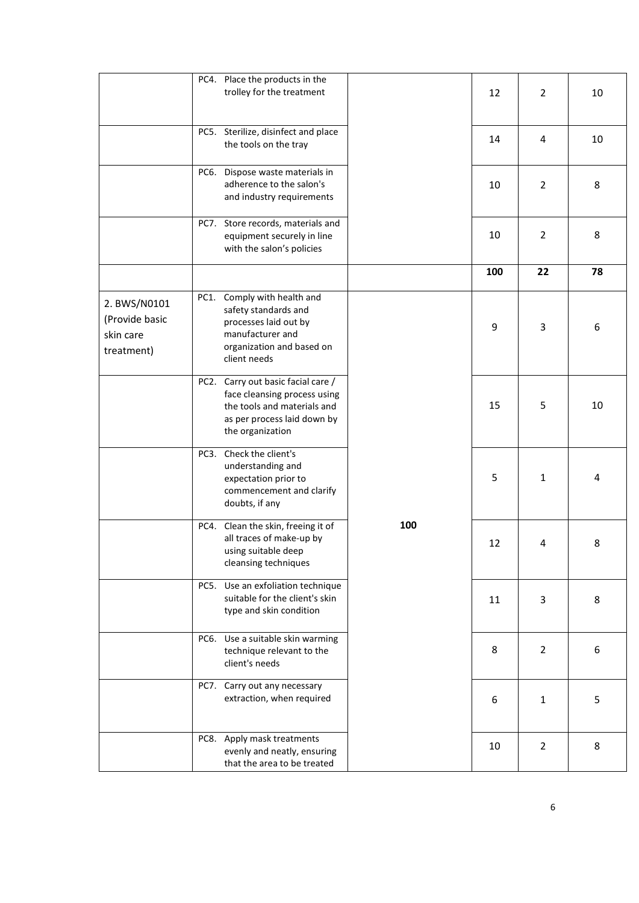|                                                           | PC4. Place the products in the<br>trolley for the treatment                                                                                          |     | 12  | $\overline{2}$ | 10 |
|-----------------------------------------------------------|------------------------------------------------------------------------------------------------------------------------------------------------------|-----|-----|----------------|----|
|                                                           | PC5. Sterilize, disinfect and place<br>the tools on the tray                                                                                         |     | 14  | 4              | 10 |
|                                                           | PC6. Dispose waste materials in<br>adherence to the salon's<br>and industry requirements                                                             |     | 10  | $\overline{2}$ | 8  |
|                                                           | PC7. Store records, materials and<br>equipment securely in line<br>with the salon's policies                                                         |     | 10  | $\overline{2}$ | 8  |
|                                                           |                                                                                                                                                      |     | 100 | 22             | 78 |
| 2. BWS/N0101<br>(Provide basic<br>skin care<br>treatment) | PC1. Comply with health and<br>safety standards and<br>processes laid out by<br>manufacturer and<br>organization and based on<br>client needs        |     | 9   | 3              | 6  |
|                                                           | PC2. Carry out basic facial care /<br>face cleansing process using<br>the tools and materials and<br>as per process laid down by<br>the organization |     | 15  | 5              | 10 |
|                                                           | PC3. Check the client's<br>understanding and<br>expectation prior to<br>commencement and clarify<br>doubts, if any                                   |     | 5   | $\mathbf{1}$   | 4  |
|                                                           | PC4. Clean the skin, freeing it of<br>all traces of make-up by<br>using suitable deep<br>cleansing techniques                                        | 100 | 12  | 4              | 8  |
|                                                           | Use an exfoliation technique<br>PC5.<br>suitable for the client's skin<br>type and skin condition                                                    |     | 11  | 3              | 8  |
|                                                           | PC6. Use a suitable skin warming<br>technique relevant to the<br>client's needs                                                                      |     | 8   | $\overline{2}$ | 6  |
|                                                           | PC7. Carry out any necessary<br>extraction, when required                                                                                            |     | 6   | $\mathbf{1}$   | 5  |
|                                                           | PC8. Apply mask treatments<br>evenly and neatly, ensuring<br>that the area to be treated                                                             |     | 10  | $\overline{2}$ | 8  |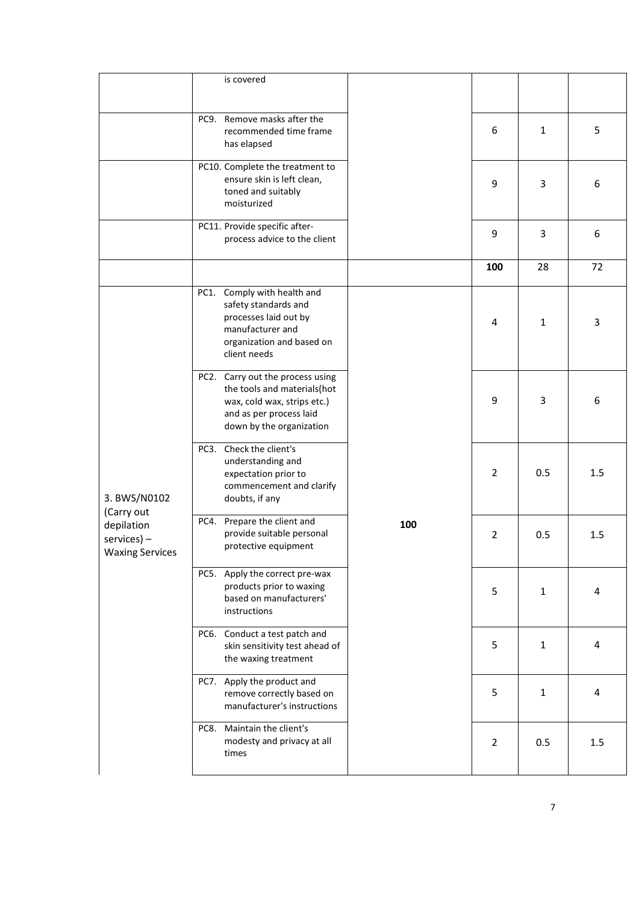|                                                                         | is covered                                                                                                                                            |     |                |              |                |
|-------------------------------------------------------------------------|-------------------------------------------------------------------------------------------------------------------------------------------------------|-----|----------------|--------------|----------------|
|                                                                         | PC9. Remove masks after the<br>recommended time frame<br>has elapsed                                                                                  |     | 6              | $\mathbf{1}$ | 5              |
|                                                                         | PC10. Complete the treatment to<br>ensure skin is left clean,<br>toned and suitably<br>moisturized                                                    |     | 9              | 3            | 6              |
|                                                                         | PC11. Provide specific after-<br>process advice to the client                                                                                         |     | 9              | 3            | 6              |
|                                                                         |                                                                                                                                                       |     | 100            | 28           | 72             |
| 3. BWS/N0102                                                            | Comply with health and<br>PC1.<br>safety standards and<br>processes laid out by<br>manufacturer and<br>organization and based on<br>client needs      |     | 4              | $\mathbf{1}$ | $\overline{3}$ |
|                                                                         | PC2. Carry out the process using<br>the tools and materials(hot<br>wax, cold wax, strips etc.)<br>and as per process laid<br>down by the organization |     | 9              | 3            | 6              |
|                                                                         | PC3. Check the client's<br>understanding and<br>expectation prior to<br>commencement and clarify<br>doubts, if any                                    |     | $\overline{2}$ | 0.5          | 1.5            |
| (Carry out<br>depilation<br>$s$ ervices $)$ –<br><b>Waxing Services</b> | PC4. Prepare the client and<br>provide suitable personal<br>protective equipment                                                                      | 100 | 2              | 0.5          | 1.5            |
|                                                                         | PC5. Apply the correct pre-wax<br>products prior to waxing<br>based on manufacturers'<br>instructions                                                 |     | 5              | $\mathbf{1}$ | $\sqrt{4}$     |
|                                                                         | PC6. Conduct a test patch and<br>skin sensitivity test ahead of<br>the waxing treatment                                                               |     | 5              | $\mathbf{1}$ | 4              |
|                                                                         | PC7. Apply the product and<br>remove correctly based on<br>manufacturer's instructions                                                                |     | 5              | $\mathbf{1}$ | 4              |
|                                                                         | PC8. Maintain the client's<br>modesty and privacy at all<br>times                                                                                     |     | $\overline{2}$ | 0.5          | 1.5            |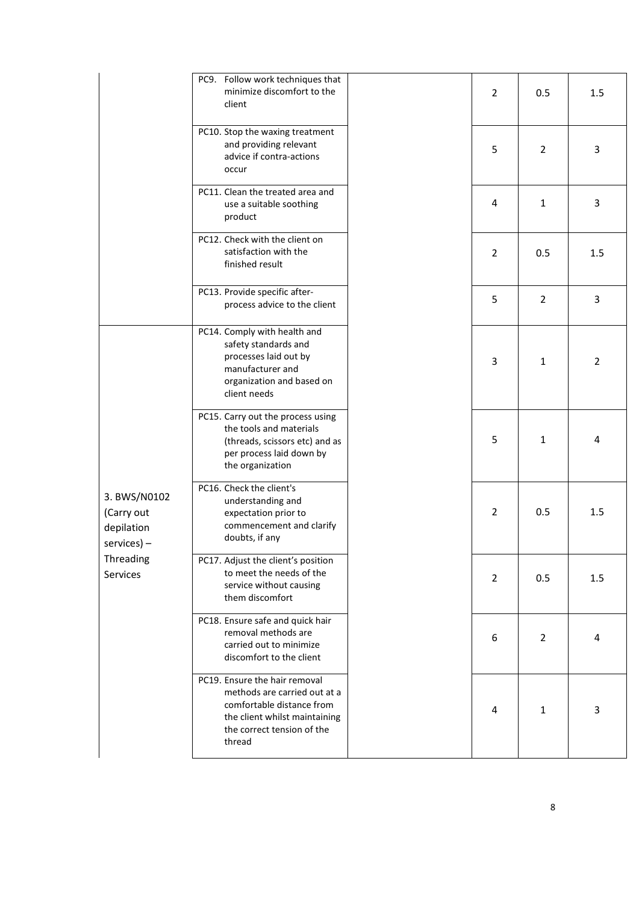|                                                               | PC9. Follow work techniques that<br>minimize discomfort to the<br>client                                                                                            | $\overline{2}$ | 0.5            | 1.5            |
|---------------------------------------------------------------|---------------------------------------------------------------------------------------------------------------------------------------------------------------------|----------------|----------------|----------------|
|                                                               | PC10. Stop the waxing treatment<br>and providing relevant<br>advice if contra-actions<br>occur                                                                      | 5              | $\overline{2}$ | 3              |
|                                                               | PC11. Clean the treated area and<br>use a suitable soothing<br>product                                                                                              | 4              | $\mathbf{1}$   | 3              |
|                                                               | PC12. Check with the client on<br>satisfaction with the<br>finished result                                                                                          | $\overline{2}$ | 0.5            | 1.5            |
|                                                               | PC13. Provide specific after-<br>process advice to the client                                                                                                       | 5              | $\overline{2}$ | 3              |
|                                                               | PC14. Comply with health and<br>safety standards and<br>processes laid out by<br>manufacturer and<br>organization and based on<br>client needs                      | 3              | $1\,$          | $\overline{2}$ |
|                                                               | PC15. Carry out the process using<br>the tools and materials<br>(threads, scissors etc) and as<br>per process laid down by<br>the organization                      | 5              | $\mathbf{1}$   | 4              |
| 3. BWS/N0102<br>(Carry out<br>depilation<br>$s$ ervices $)$ – | PC16. Check the client's<br>understanding and<br>expectation prior to<br>commencement and clarify<br>doubts, if any                                                 | $\overline{2}$ | 0.5            | 1.5            |
| Threading<br>Services                                         | PC17. Adjust the client's position<br>to meet the needs of the<br>service without causing<br>them discomfort                                                        | $\overline{2}$ | 0.5            | $1.5\,$        |
|                                                               | PC18. Ensure safe and quick hair<br>removal methods are<br>carried out to minimize<br>discomfort to the client                                                      | 6              | $\overline{2}$ | 4              |
|                                                               | PC19. Ensure the hair removal<br>methods are carried out at a<br>comfortable distance from<br>the client whilst maintaining<br>the correct tension of the<br>thread | 4              | $\mathbf{1}$   | 3              |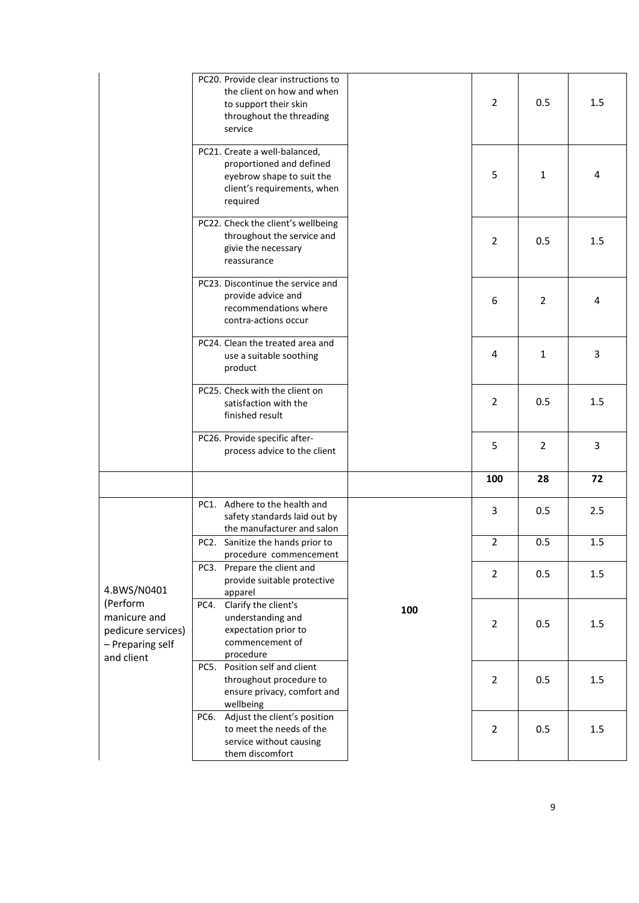|                                                                                  | PC20. Provide clear instructions to<br>the client on how and when<br>to support their skin<br>throughout the threading<br>service |     | $\overline{2}$ | 0.5            | 1.5 |
|----------------------------------------------------------------------------------|-----------------------------------------------------------------------------------------------------------------------------------|-----|----------------|----------------|-----|
|                                                                                  | PC21. Create a well-balanced,<br>proportioned and defined<br>eyebrow shape to suit the<br>client's requirements, when<br>required |     | 5              | 1              | 4   |
|                                                                                  | PC22. Check the client's wellbeing<br>throughout the service and<br>givie the necessary<br>reassurance                            |     | $\overline{2}$ | 0.5            | 1.5 |
|                                                                                  | PC23. Discontinue the service and<br>provide advice and<br>recommendations where<br>contra-actions occur                          |     | 6              | $\overline{2}$ | 4   |
|                                                                                  | PC24. Clean the treated area and<br>use a suitable soothing<br>product                                                            |     | 4              | $\mathbf{1}$   | 3   |
|                                                                                  | PC25. Check with the client on<br>satisfaction with the<br>finished result                                                        |     | $\overline{2}$ | 0.5            | 1.5 |
|                                                                                  | PC26. Provide specific after-<br>process advice to the client                                                                     |     | 5              | $\overline{2}$ | 3   |
|                                                                                  |                                                                                                                                   |     | 100            | 28             | 72  |
|                                                                                  | PC1. Adhere to the health and<br>safety standards laid out by<br>the manufacturer and salon                                       |     | 3              | 0.5            | 2.5 |
|                                                                                  | PC2. Sanitize the hands prior to<br>procedure commencement                                                                        |     | $\overline{2}$ | 0.5            | 1.5 |
| 4.BWS/N0401                                                                      | PC3. Prepare the client and<br>provide suitable protective<br>apparel                                                             |     | $\overline{2}$ | 0.5            | 1.5 |
| (Perform<br>manicure and<br>pedicure services)<br>- Preparing self<br>and client | Clarify the client's<br>PC4.<br>understanding and<br>expectation prior to<br>commencement of<br>procedure                         | 100 | $\overline{2}$ | 0.5            | 1.5 |
|                                                                                  | PC5. Position self and client<br>throughout procedure to<br>ensure privacy, comfort and<br>wellbeing                              |     | $\overline{2}$ | 0.5            | 1.5 |
|                                                                                  | PC6. Adjust the client's position<br>to meet the needs of the<br>service without causing<br>them discomfort                       |     | $\overline{2}$ | 0.5            | 1.5 |
|                                                                                  |                                                                                                                                   |     |                |                |     |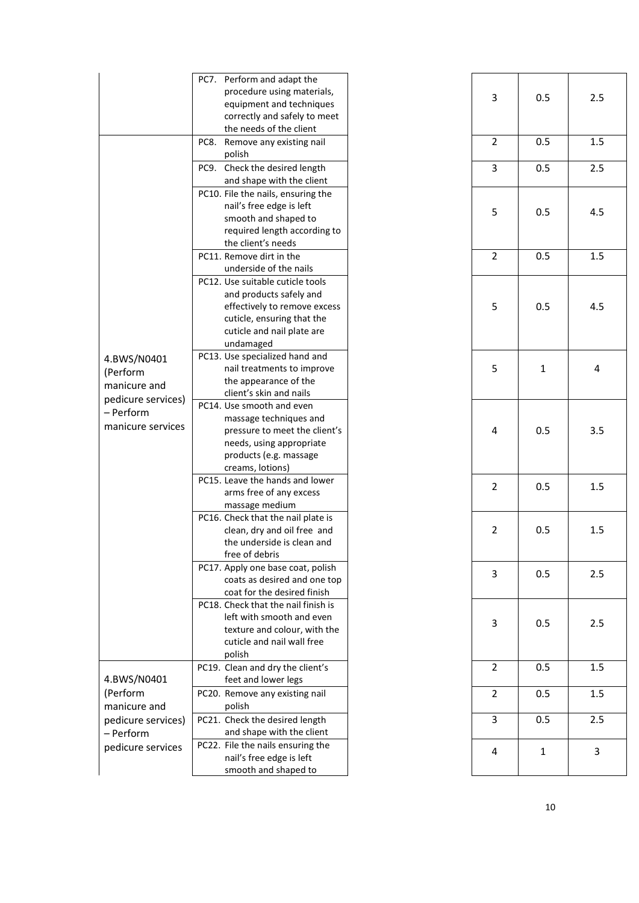|                                                                                                 | PC7. Perform and adapt the<br>procedure using materials,<br>equipment and techniques<br>correctly and safely to meet<br>the needs of the client                      |   | 3              | 0.5          | 2.5 |
|-------------------------------------------------------------------------------------------------|----------------------------------------------------------------------------------------------------------------------------------------------------------------------|---|----------------|--------------|-----|
|                                                                                                 | PC8. Remove any existing nail<br>polish                                                                                                                              |   | $\overline{2}$ | 0.5          | 1.5 |
|                                                                                                 | PC9. Check the desired length<br>and shape with the client                                                                                                           |   | $\overline{3}$ | 0.5          | 2.5 |
|                                                                                                 | PC10. File the nails, ensuring the<br>nail's free edge is left<br>smooth and shaped to<br>required length according to<br>the client's needs                         |   | 5              | 0.5          | 4.5 |
|                                                                                                 | PC11. Remove dirt in the<br>underside of the nails                                                                                                                   |   | $\overline{2}$ | 0.5          | 1.5 |
|                                                                                                 | PC12. Use suitable cuticle tools<br>and products safely and<br>effectively to remove excess<br>cuticle, ensuring that the<br>cuticle and nail plate are<br>undamaged |   | 5              | 0.5          | 4.5 |
| 4.BWS/N0401<br>(Perform<br>manicure and<br>pedicure services)<br>- Perform<br>manicure services | PC13. Use specialized hand and<br>nail treatments to improve<br>the appearance of the<br>client's skin and nails                                                     | 5 | $\mathbf{1}$   | 4            |     |
|                                                                                                 | PC14. Use smooth and even<br>massage techniques and<br>pressure to meet the client's<br>needs, using appropriate<br>products (e.g. massage<br>creams, lotions)       |   | 4              | 0.5          | 3.5 |
|                                                                                                 | PC15. Leave the hands and lower<br>arms free of any excess<br>massage medium                                                                                         |   | 2              | 0.5          | 1.5 |
|                                                                                                 | PC16. Check that the nail plate is<br>clean, dry and oil free and<br>the underside is clean and<br>free of debris                                                    |   | 2              | 0.5          | 1.5 |
|                                                                                                 | PC17. Apply one base coat, polish<br>coats as desired and one top<br>coat for the desired finish                                                                     |   | 3              | 0.5          | 2.5 |
|                                                                                                 | PC18. Check that the nail finish is<br>left with smooth and even<br>texture and colour, with the<br>cuticle and nail wall free<br>polish                             |   | 3              | 0.5          | 2.5 |
| 4.BWS/N0401                                                                                     | PC19. Clean and dry the client's<br>feet and lower legs                                                                                                              |   | $\overline{2}$ | 0.5          | 1.5 |
| (Perform<br>manicure and                                                                        | PC20. Remove any existing nail<br>polish                                                                                                                             |   | $\overline{2}$ | 0.5          | 1.5 |
| pedicure services)<br>- Perform                                                                 | PC21. Check the desired length<br>and shape with the client                                                                                                          |   | 3              | 0.5          | 2.5 |
| pedicure services                                                                               | PC22. File the nails ensuring the<br>nail's free edge is left<br>smooth and shaped to                                                                                |   | 4              | $\mathbf{1}$ | 3   |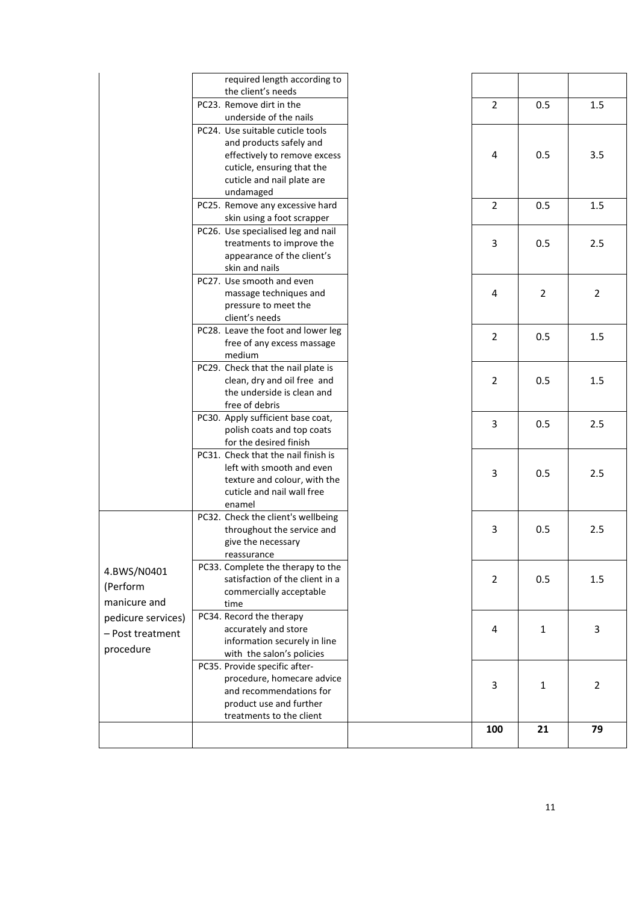|                    | required length according to<br>the client's needs                   |                |                |                |
|--------------------|----------------------------------------------------------------------|----------------|----------------|----------------|
|                    | PC23. Remove dirt in the                                             | $\overline{2}$ | 0.5            | 1.5            |
|                    | underside of the nails                                               |                |                |                |
|                    | PC24. Use suitable cuticle tools                                     |                |                |                |
|                    | and products safely and                                              |                |                |                |
|                    | effectively to remove excess                                         | 4              | 0.5            | 3.5            |
|                    | cuticle, ensuring that the                                           |                |                |                |
|                    | cuticle and nail plate are                                           |                |                |                |
|                    | undamaged                                                            |                |                |                |
|                    | PC25. Remove any excessive hard                                      | $\overline{2}$ | 0.5            | 1.5            |
|                    | skin using a foot scrapper                                           |                |                |                |
|                    | PC26. Use specialised leg and nail                                   |                |                |                |
|                    | treatments to improve the                                            | 3              | 0.5            | 2.5            |
|                    | appearance of the client's                                           |                |                |                |
|                    | skin and nails                                                       |                |                |                |
|                    | PC27. Use smooth and even                                            |                |                |                |
|                    | massage techniques and                                               | 4              | $\overline{2}$ | $\overline{2}$ |
|                    | pressure to meet the                                                 |                |                |                |
|                    | client's needs<br>PC28. Leave the foot and lower leg                 |                |                |                |
|                    | free of any excess massage                                           | $\overline{2}$ | 0.5            | 1.5            |
|                    | medium                                                               |                |                |                |
|                    | PC29. Check that the nail plate is                                   |                |                |                |
|                    | clean, dry and oil free and                                          | $\overline{2}$ | 0.5            | 1.5            |
|                    | the underside is clean and                                           |                |                |                |
|                    | free of debris                                                       |                |                |                |
|                    | PC30. Apply sufficient base coat,                                    |                |                |                |
|                    | polish coats and top coats                                           | 3              | 0.5            | 2.5            |
|                    | for the desired finish                                               |                |                |                |
|                    | PC31. Check that the nail finish is                                  |                |                |                |
|                    | left with smooth and even                                            | 3              | 0.5            | 2.5            |
|                    | texture and colour, with the                                         |                |                |                |
|                    | cuticle and nail wall free                                           |                |                |                |
|                    | enamel                                                               |                |                |                |
|                    | PC32. Check the client's wellbeing                                   |                |                |                |
|                    | throughout the service and                                           | $\mathbf{3}$   | 0.5            | 2.5            |
|                    | give the necessary                                                   |                |                |                |
|                    | reassurance                                                          |                |                |                |
| 4.BWS/N0401        | PC33. Complete the therapy to the<br>satisfaction of the client in a | 2              | 0.5            | 1.5            |
| (Perform           | commercially acceptable                                              |                |                |                |
| manicure and       | time                                                                 |                |                |                |
| pedicure services) | PC34. Record the therapy                                             |                |                |                |
|                    | accurately and store                                                 | 4              | 1              | 3              |
| - Post treatment   | information securely in line                                         |                |                |                |
| procedure          | with the salon's policies                                            |                |                |                |
|                    | PC35. Provide specific after-                                        |                |                |                |
|                    | procedure, homecare advice                                           |                |                |                |
|                    | and recommendations for                                              | 3              | 1              | $\overline{2}$ |
|                    | product use and further                                              |                |                |                |
|                    | treatments to the client                                             |                |                |                |
|                    |                                                                      | 100            | 21             | 79             |
|                    |                                                                      |                |                |                |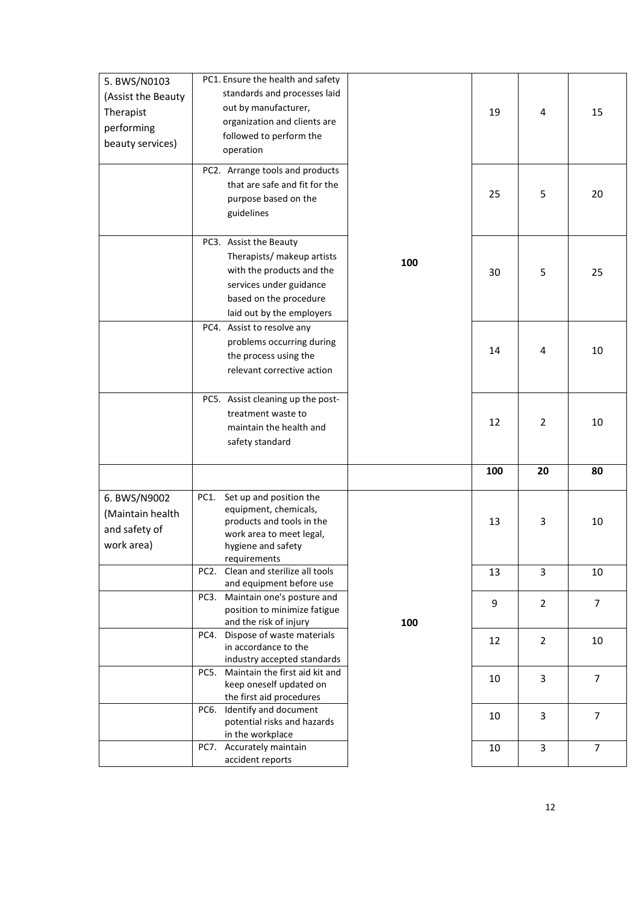| 5. BWS/N0103       |      | PC1. Ensure the health and safety                       |     |     |                |                |
|--------------------|------|---------------------------------------------------------|-----|-----|----------------|----------------|
|                    |      | standards and processes laid                            |     |     |                |                |
| (Assist the Beauty |      | out by manufacturer,                                    |     |     |                |                |
| Therapist          |      |                                                         |     | 19  | 4              | 15             |
| performing         |      | organization and clients are                            |     |     |                |                |
| beauty services)   |      | followed to perform the                                 |     |     |                |                |
|                    |      | operation                                               |     |     |                |                |
|                    |      | PC2. Arrange tools and products                         |     |     |                |                |
|                    |      | that are safe and fit for the                           |     |     |                |                |
|                    |      | purpose based on the                                    |     | 25  | 5              | 20             |
|                    |      |                                                         |     |     |                |                |
|                    |      | guidelines                                              |     |     |                |                |
|                    |      |                                                         |     |     |                |                |
|                    |      | PC3. Assist the Beauty                                  |     |     |                |                |
|                    |      | Therapists/ makeup artists                              | 100 |     |                |                |
|                    |      | with the products and the                               |     | 30  | 5              | 25             |
|                    |      | services under guidance                                 |     |     |                |                |
|                    |      | based on the procedure                                  |     |     |                |                |
|                    |      | laid out by the employers                               |     |     |                |                |
|                    |      | PC4. Assist to resolve any                              |     |     |                |                |
|                    |      | problems occurring during                               |     |     |                |                |
|                    |      | the process using the                                   |     | 14  | 4              | 10             |
|                    |      | relevant corrective action                              |     |     |                |                |
|                    |      |                                                         |     |     |                |                |
|                    |      | PC5. Assist cleaning up the post-                       |     |     |                |                |
|                    |      | treatment waste to                                      |     |     |                |                |
|                    |      |                                                         |     | 12  | $\overline{2}$ | 10             |
|                    |      | maintain the health and                                 |     |     |                |                |
|                    |      | safety standard                                         |     |     |                |                |
|                    |      |                                                         |     |     |                |                |
|                    |      |                                                         |     | 100 | 20             | 80             |
| 6. BWS/N9002       | PC1. | Set up and position the                                 |     |     |                |                |
| (Maintain health   |      | equipment, chemicals,                                   |     |     |                |                |
|                    |      | products and tools in the                               |     | 13  | 3              | 10             |
| and safety of      |      | work area to meet legal,                                |     |     |                |                |
| work area)         |      | hygiene and safety                                      |     |     |                |                |
|                    |      | requirements                                            |     |     |                |                |
|                    |      | PC2. Clean and sterilize all tools                      |     | 13  | 3              | 10             |
|                    |      | and equipment before use                                |     |     |                |                |
|                    |      | PC3. Maintain one's posture and                         |     | 9   | $\overline{2}$ | $\overline{7}$ |
|                    |      | position to minimize fatigue                            |     |     |                |                |
|                    |      | and the risk of injury                                  | 100 |     |                |                |
|                    |      | PC4. Dispose of waste materials<br>in accordance to the |     | 12  | $\overline{2}$ | 10             |
|                    |      |                                                         |     |     |                |                |
|                    |      |                                                         |     |     |                |                |
|                    |      | industry accepted standards                             |     |     |                |                |
|                    | PC5. | Maintain the first aid kit and                          |     | 10  | 3              | $\overline{7}$ |
|                    |      | keep oneself updated on                                 |     |     |                |                |
|                    |      | the first aid procedures<br>PC6. Identify and document  |     |     |                |                |
|                    |      | potential risks and hazards                             |     | 10  | 3              | 7              |
|                    |      | in the workplace                                        |     |     |                |                |
|                    |      | PC7. Accurately maintain<br>accident reports            |     | 10  | 3              | $\overline{7}$ |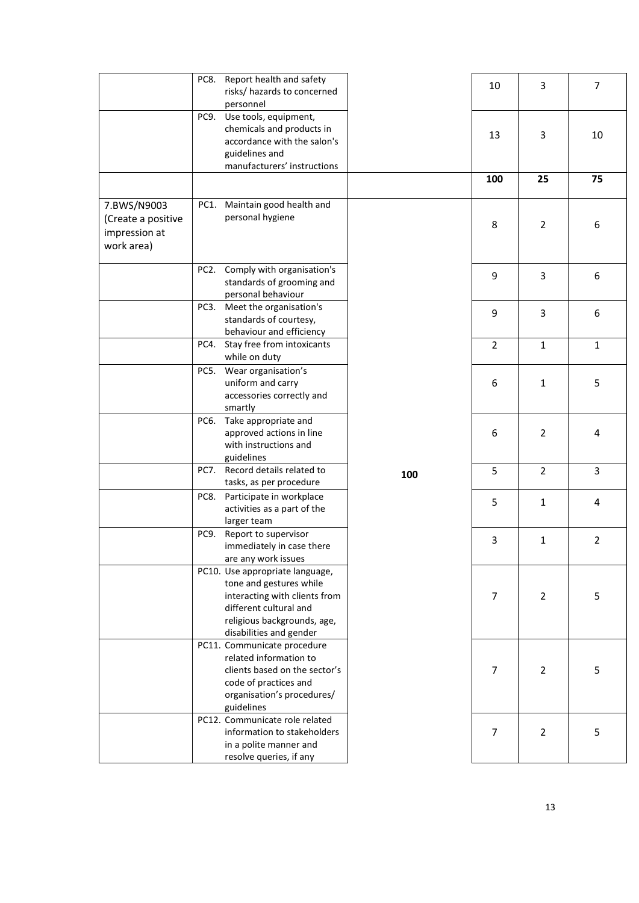|                                                                  | Report health and safety<br>PC8.<br>risks/ hazards to concerned<br>personnel                                                                                                    | 10             | 3              | $\overline{7}$          |
|------------------------------------------------------------------|---------------------------------------------------------------------------------------------------------------------------------------------------------------------------------|----------------|----------------|-------------------------|
|                                                                  | Use tools, equipment,<br>PC9.<br>chemicals and products in<br>accordance with the salon's<br>guidelines and<br>manufacturers' instructions                                      | 13             | 3              | 10                      |
|                                                                  |                                                                                                                                                                                 | 100            | 25             | 75                      |
| 7.BWS/N9003<br>(Create a positive<br>impression at<br>work area) | PC1. Maintain good health and<br>personal hygiene                                                                                                                               | 8              | $\overline{2}$ | 6                       |
|                                                                  | Comply with organisation's<br>PC <sub>2</sub> .<br>standards of grooming and<br>personal behaviour                                                                              | 9              | 3              | 6                       |
|                                                                  | PC3.<br>Meet the organisation's<br>standards of courtesy,<br>behaviour and efficiency                                                                                           | 9              | 3              | 6                       |
|                                                                  | Stay free from intoxicants<br>PC4.<br>while on duty                                                                                                                             | $\overline{2}$ | $\mathbf{1}$   | $\mathbf{1}$            |
|                                                                  | Wear organisation's<br>PC5.<br>uniform and carry<br>accessories correctly and<br>smartly                                                                                        | 6              | $\mathbf{1}$   | 5                       |
|                                                                  | Take appropriate and<br>PC6.<br>approved actions in line<br>with instructions and<br>guidelines                                                                                 | 6              | $\overline{2}$ | 4                       |
|                                                                  | Record details related to<br>PC7.<br>100<br>tasks, as per procedure                                                                                                             | 5              | $\overline{2}$ | $\overline{\mathbf{3}}$ |
|                                                                  | Participate in workplace<br>PC8.<br>activities as a part of the<br>larger team                                                                                                  | 5              | $1\,$          | 4                       |
|                                                                  | PC9.<br>Report to supervisor<br>immediately in case there<br>are any work issues                                                                                                | 3              | $\mathbf{1}$   | $\overline{2}$          |
|                                                                  | PC10. Use appropriate language,<br>tone and gestures while<br>interacting with clients from<br>different cultural and<br>religious backgrounds, age,<br>disabilities and gender | 7              | 2              | 5                       |
|                                                                  | PC11. Communicate procedure<br>related information to<br>clients based on the sector's<br>code of practices and<br>organisation's procedures/<br>guidelines                     | 7              | $\overline{2}$ | 5                       |
|                                                                  | PC12. Communicate role related<br>information to stakeholders<br>in a polite manner and<br>resolve queries, if any                                                              | 7              | $\overline{2}$ | 5                       |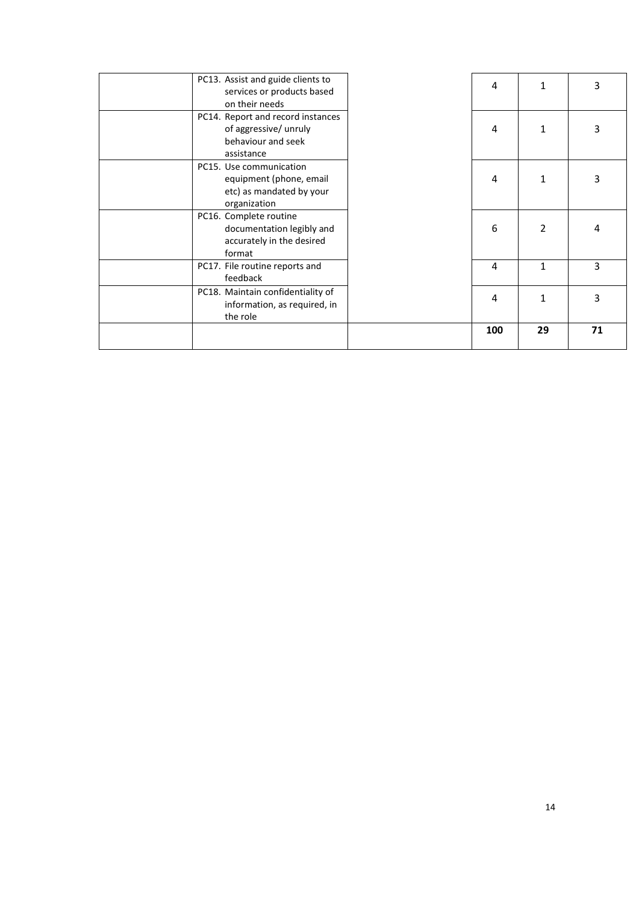| PC13. Assist and guide clients to<br>services or products based<br>on their needs              | 4   | 1              | 3  |
|------------------------------------------------------------------------------------------------|-----|----------------|----|
| PC14. Report and record instances<br>of aggressive/ unruly<br>behaviour and seek<br>assistance | 4   | 1              | 3  |
| PC15. Use communication<br>equipment (phone, email<br>etc) as mandated by your<br>organization | 4   | 1              | 3  |
| PC16. Complete routine<br>documentation legibly and<br>accurately in the desired<br>format     | 6   | $\overline{2}$ | 4  |
| PC17. File routine reports and<br>feedback                                                     | 4   | 1              | 3  |
| PC18. Maintain confidentiality of<br>information, as required, in<br>the role                  | 4   | 1              | 3  |
|                                                                                                | 100 | 29             | 71 |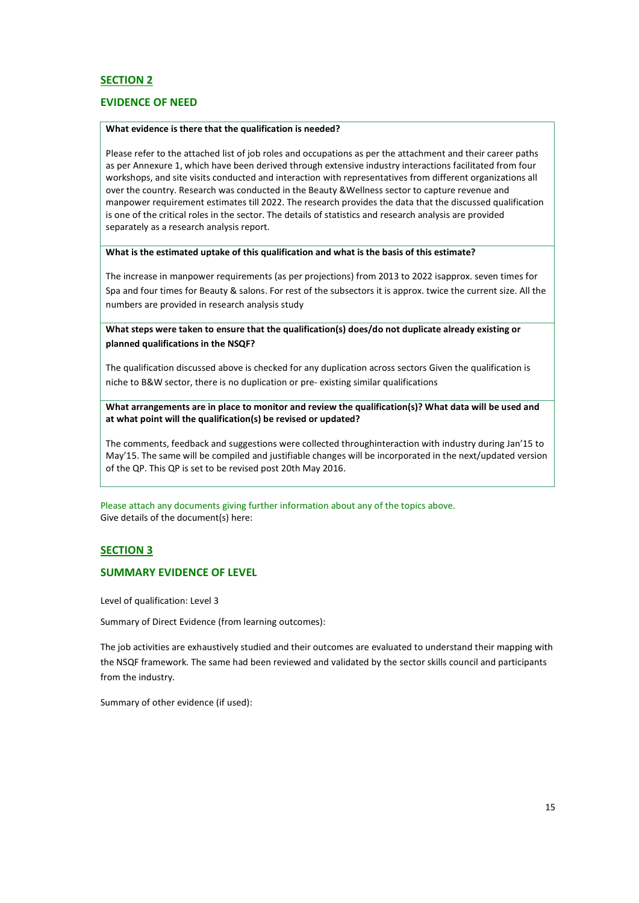## **SECTION 2**

## **EVIDENCE OF NEED**

#### **What evidence is there that the qualification is needed?**

Please refer to the attached list of job roles and occupations as per the attachment and their career paths as per Annexure 1, which have been derived through extensive industry interactions facilitated from four workshops, and site visits conducted and interaction with representatives from different organizations all over the country. Research was conducted in the Beauty &Wellness sector to capture revenue and manpower requirement estimates till 2022. The research provides the data that the discussed qualification is one of the critical roles in the sector. The details of statistics and research analysis are provided separately as a research analysis report.

### **What is the estimated uptake of this qualification and what is the basis of this estimate?**

The increase in manpower requirements (as per projections) from 2013 to 2022 isapprox. seven times for Spa and four times for Beauty & salons. For rest of the subsectors it is approx. twice the current size. All the numbers are provided in research analysis study

**What steps were taken to ensure that the qualification(s) does/do not duplicate already existing or planned qualifications in the NSQF?**

The qualification discussed above is checked for any duplication across sectors Given the qualification is niche to B&W sector, there is no duplication or pre- existing similar qualifications

**What arrangements are in place to monitor and review the qualification(s)? What data will be used and at what point will the qualification(s) be revised or updated?**

The comments, feedback and suggestions were collected throughinteraction with industry during Jan'15 to May'15. The same will be compiled and justifiable changes will be incorporated in the next/updated version of the QP. This QP is set to be revised post 20th May 2016.

Please attach any documents giving further information about any of the topics above. Give details of the document(s) here:

### **SECTION 3**

## **SUMMARY EVIDENCE OF LEVEL**

Level of qualification: Level 3

Summary of Direct Evidence (from learning outcomes):

The job activities are exhaustively studied and their outcomes are evaluated to understand their mapping with the NSQF framework. The same had been reviewed and validated by the sector skills council and participants from the industry.

Summary of other evidence (if used):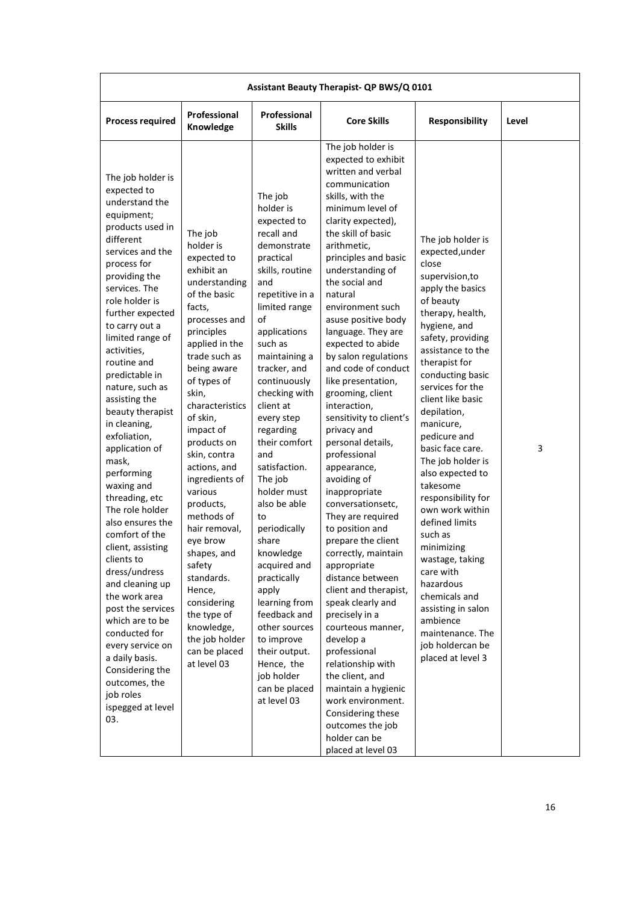| Assistant Beauty Therapist- QP BWS/Q 0101                                                                                                                                                                                                                                                                                                                                                                                                                                                                                                                                                                                                                                                                                                                                                        |                                                                                                                                                                                                                                                                                                                                                                                                                                                                                                                                      |                                                                                                                                                                                                                                                                                                                                                                                                                                                                                                                                                                                                            |                                                                                                                                                                                                                                                                                                                                                                                                                                                                                                                                                                                                                                                                                                                                                                                                                                                                                                                                                                                                                             |                                                                                                                                                                                                                                                                                                                                                                                                                                                                                                                                                                                                                                     |       |  |  |
|--------------------------------------------------------------------------------------------------------------------------------------------------------------------------------------------------------------------------------------------------------------------------------------------------------------------------------------------------------------------------------------------------------------------------------------------------------------------------------------------------------------------------------------------------------------------------------------------------------------------------------------------------------------------------------------------------------------------------------------------------------------------------------------------------|--------------------------------------------------------------------------------------------------------------------------------------------------------------------------------------------------------------------------------------------------------------------------------------------------------------------------------------------------------------------------------------------------------------------------------------------------------------------------------------------------------------------------------------|------------------------------------------------------------------------------------------------------------------------------------------------------------------------------------------------------------------------------------------------------------------------------------------------------------------------------------------------------------------------------------------------------------------------------------------------------------------------------------------------------------------------------------------------------------------------------------------------------------|-----------------------------------------------------------------------------------------------------------------------------------------------------------------------------------------------------------------------------------------------------------------------------------------------------------------------------------------------------------------------------------------------------------------------------------------------------------------------------------------------------------------------------------------------------------------------------------------------------------------------------------------------------------------------------------------------------------------------------------------------------------------------------------------------------------------------------------------------------------------------------------------------------------------------------------------------------------------------------------------------------------------------------|-------------------------------------------------------------------------------------------------------------------------------------------------------------------------------------------------------------------------------------------------------------------------------------------------------------------------------------------------------------------------------------------------------------------------------------------------------------------------------------------------------------------------------------------------------------------------------------------------------------------------------------|-------|--|--|
| <b>Process required</b>                                                                                                                                                                                                                                                                                                                                                                                                                                                                                                                                                                                                                                                                                                                                                                          | Professional<br>Knowledge                                                                                                                                                                                                                                                                                                                                                                                                                                                                                                            | Professional<br><b>Skills</b>                                                                                                                                                                                                                                                                                                                                                                                                                                                                                                                                                                              | <b>Core Skills</b>                                                                                                                                                                                                                                                                                                                                                                                                                                                                                                                                                                                                                                                                                                                                                                                                                                                                                                                                                                                                          | Responsibility                                                                                                                                                                                                                                                                                                                                                                                                                                                                                                                                                                                                                      | Level |  |  |
| The job holder is<br>expected to<br>understand the<br>equipment;<br>products used in<br>different<br>services and the<br>process for<br>providing the<br>services. The<br>role holder is<br>further expected<br>to carry out a<br>limited range of<br>activities,<br>routine and<br>predictable in<br>nature, such as<br>assisting the<br>beauty therapist<br>in cleaning,<br>exfoliation,<br>application of<br>mask,<br>performing<br>waxing and<br>threading, etc<br>The role holder<br>also ensures the<br>comfort of the<br>client, assisting<br>clients to<br>dress/undress<br>and cleaning up<br>the work area<br>post the services<br>which are to be<br>conducted for<br>every service on<br>a daily basis.<br>Considering the<br>outcomes, the<br>job roles<br>ispegged at level<br>03. | The job<br>holder is<br>expected to<br>exhibit an<br>understanding<br>of the basic<br>facts,<br>processes and<br>principles<br>applied in the<br>trade such as<br>being aware<br>of types of<br>skin,<br>characteristics<br>of skin,<br>impact of<br>products on<br>skin, contra<br>actions, and<br>ingredients of<br>various<br>products,<br>methods of<br>hair removal.<br>eye brow<br>shapes, and<br>safety<br>standards.<br>Hence,<br>considering<br>the type of<br>knowledge,<br>the job holder<br>can be placed<br>at level 03 | The job<br>holder is<br>expected to<br>recall and<br>demonstrate<br>practical<br>skills, routine<br>and<br>repetitive in a<br>limited range<br>of<br>applications<br>such as<br>maintaining a<br>tracker, and<br>continuously<br>checking with<br>client at<br>every step<br>regarding<br>their comfort<br>and<br>satisfaction.<br>The job<br>holder must<br>also be able<br>to<br>periodically<br>share<br>knowledge<br>acquired and<br>practically<br>apply<br>learning from<br>feedback and<br>other sources<br>to improve<br>their output.<br>Hence, the<br>job holder<br>can be placed<br>at level 03 | The job holder is<br>expected to exhibit<br>written and verbal<br>communication<br>skills, with the<br>minimum level of<br>clarity expected),<br>the skill of basic<br>arithmetic,<br>principles and basic<br>understanding of<br>the social and<br>natural<br>environment such<br>asuse positive body<br>language. They are<br>expected to abide<br>by salon regulations<br>and code of conduct<br>like presentation,<br>grooming, client<br>interaction,<br>sensitivity to client's<br>privacy and<br>personal details,<br>professional<br>appearance,<br>avoiding of<br>inappropriate<br>conversationsetc,<br>They are required<br>to position and<br>prepare the client<br>correctly, maintain<br>appropriate<br>distance between<br>client and therapist,<br>speak clearly and<br>precisely in a<br>courteous manner,<br>develop a<br>professional<br>relationship with<br>the client, and<br>maintain a hygienic<br>work environment.<br>Considering these<br>outcomes the job<br>holder can be<br>placed at level 03 | The job holder is<br>expected, under<br>close<br>supervision, to<br>apply the basics<br>of beauty<br>therapy, health,<br>hygiene, and<br>safety, providing<br>assistance to the<br>therapist for<br>conducting basic<br>services for the<br>client like basic<br>depilation,<br>manicure,<br>pedicure and<br>basic face care.<br>The job holder is<br>also expected to<br>takesome<br>responsibility for<br>own work within<br>defined limits<br>such as<br>minimizing<br>wastage, taking<br>care with<br>hazardous<br>chemicals and<br>assisting in salon<br>ambience<br>maintenance. The<br>job holdercan be<br>placed at level 3 | 3     |  |  |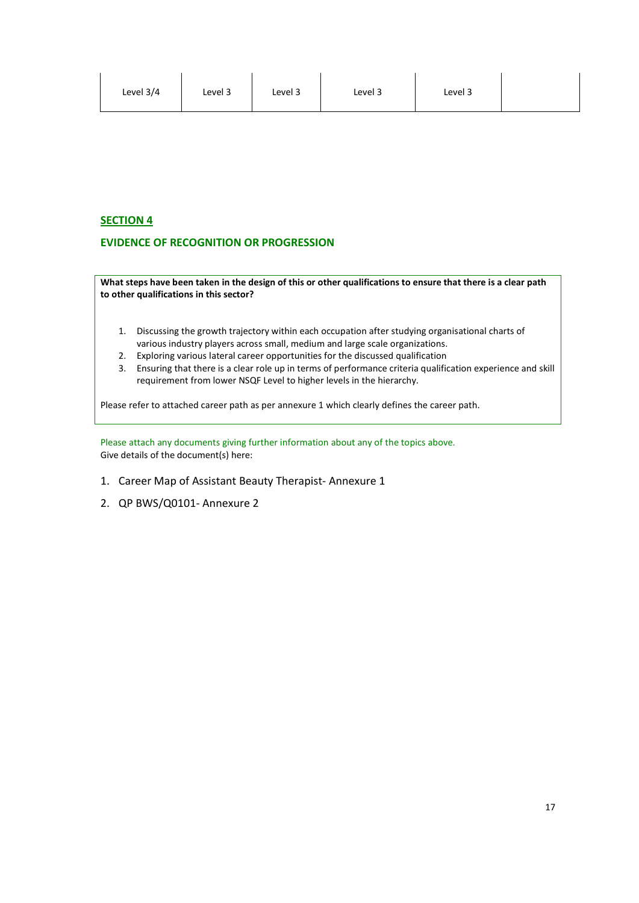| Level 3/4<br>Level 3<br>Level 3<br>Level 3<br>Level 3 |
|-------------------------------------------------------|
|-------------------------------------------------------|

# **SECTION 4**

## **EVIDENCE OF RECOGNITION OR PROGRESSION**

**What steps have been taken in the design of this or other qualifications to ensure that there is a clear path to other qualifications in this sector?**

- 1. Discussing the growth trajectory within each occupation after studying organisational charts of various industry players across small, medium and large scale organizations.
- 2. Exploring various lateral career opportunities for the discussed qualification
- 3. Ensuring that there is a clear role up in terms of performance criteria qualification experience and skill requirement from lower NSQF Level to higher levels in the hierarchy.

Please refer to attached career path as per annexure 1 which clearly defines the career path.

Please attach any documents giving further information about any of the topics above. Give details of the document(s) here:

- 1. Career Map of Assistant Beauty Therapist- Annexure 1
- 2. QP BWS/Q0101- Annexure 2

 $\mathbf{r}$